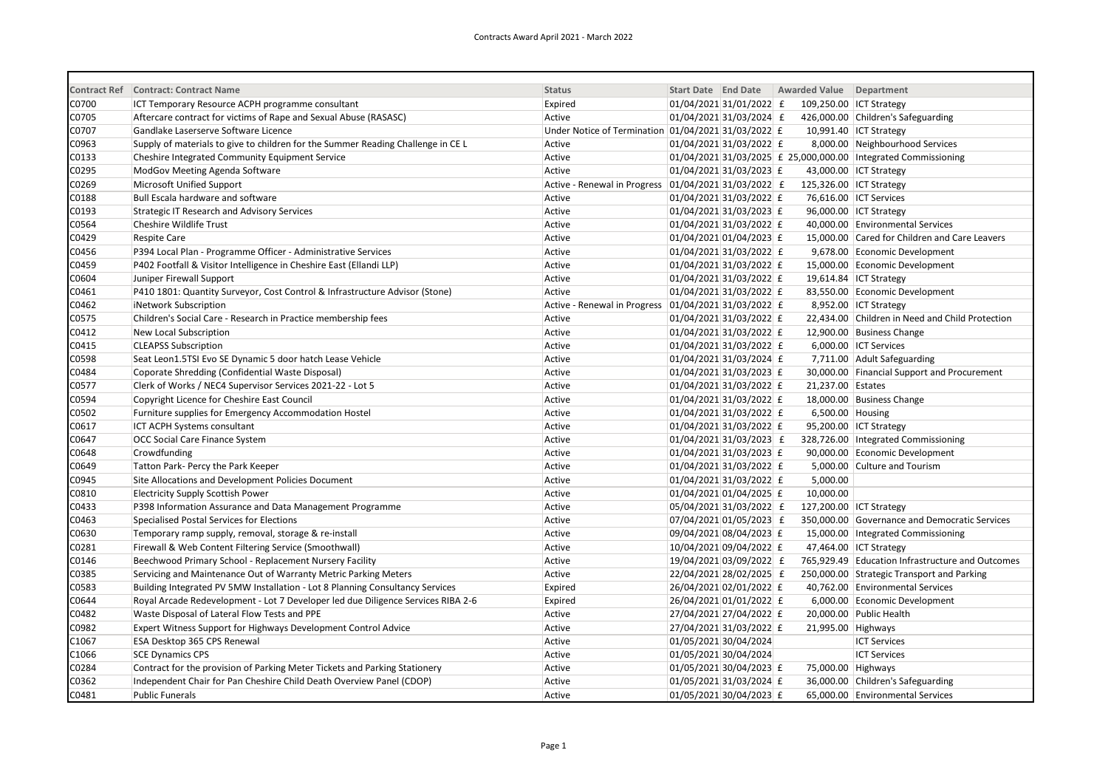|       | Contract Ref Contract: Contract Name                                             | <b>Status</b>                                       | Start Date End Date |                             | Awarded Value Department |                                                                |
|-------|----------------------------------------------------------------------------------|-----------------------------------------------------|---------------------|-----------------------------|--------------------------|----------------------------------------------------------------|
| C0700 | ICT Temporary Resource ACPH programme consultant                                 | Expired                                             |                     | 01/04/2021 31/01/2022 £     | 109,250.00 ICT Strategy  |                                                                |
| C0705 | Aftercare contract for victims of Rape and Sexual Abuse (RASASC)                 | Active                                              |                     | $01/04/2021$ 31/03/2024 £   |                          | 426,000.00 Children's Safeguarding                             |
| C0707 | Gandlake Laserserve Software Licence                                             | Under Notice of Termination 01/04/2021 31/03/2022 £ |                     |                             |                          | 10,991.40 ICT Strategy                                         |
| C0963 | Supply of materials to give to children for the Summer Reading Challenge in CE L | Active                                              |                     | 01/04/2021 31/03/2022 £     |                          | 8,000.00 Neighbourhood Services                                |
| C0133 | Cheshire Integrated Community Equipment Service                                  | Active                                              |                     |                             |                          | 01/04/2021 31/03/2025 £ 25,000,000.00 Integrated Commissioning |
| C0295 | ModGov Meeting Agenda Software                                                   | Active                                              |                     | 01/04/2021 31/03/2023 £     |                          | 43,000.00 ICT Strategy                                         |
| C0269 | Microsoft Unified Support                                                        | Active - Renewal in Progress                        |                     | $ 01/04/2021 31/03/2022 $ £ | 125,326.00 ICT Strategy  |                                                                |
| C0188 | Bull Escala hardware and software                                                | Active                                              |                     | 01/04/2021 31/03/2022 £     |                          | 76,616.00 ICT Services                                         |
| C0193 | <b>Strategic IT Research and Advisory Services</b>                               | Active                                              |                     | 01/04/2021 31/03/2023 £     |                          | 96,000.00 ICT Strategy                                         |
| C0564 | Cheshire Wildlife Trust                                                          | Active                                              |                     | 01/04/2021 31/03/2022 £     |                          | 40,000.00 Environmental Services                               |
| C0429 | <b>Respite Care</b>                                                              | Active                                              |                     | 01/04/2021 01/04/2023 £     |                          | 15,000.00 Cared for Children and Care Leavers                  |
| C0456 | P394 Local Plan - Programme Officer - Administrative Services                    | Active                                              |                     | 01/04/2021 31/03/2022 £     |                          | 9,678.00 Economic Development                                  |
| C0459 | P402 Footfall & Visitor Intelligence in Cheshire East (Ellandi LLP)              | Active                                              |                     | 01/04/2021 31/03/2022 £     |                          | 15,000.00 Economic Development                                 |
| C0604 | Juniper Firewall Support                                                         | Active                                              |                     | 01/04/2021 31/03/2022 £     |                          | 19,614.84 ICT Strategy                                         |
| C0461 | P410 1801: Quantity Surveyor, Cost Control & Infrastructure Advisor (Stone)      | Active                                              |                     | 01/04/2021 31/03/2022 £     |                          | 83,550.00 Economic Development                                 |
| C0462 | iNetwork Subscription                                                            | Active - Renewal in Progress                        |                     | $ 01/04/2021 31/03/2022 $ £ |                          | 8,952.00 ICT Strategy                                          |
| C0575 | Children's Social Care - Research in Practice membership fees                    | Active                                              |                     | 01/04/2021 31/03/2022 £     |                          | 22,434.00 Children in Need and Child Protection                |
| C0412 | New Local Subscription                                                           | Active                                              |                     | $ 01/04/2021 31/03/2022 $ £ |                          | 12,900.00 Business Change                                      |
| C0415 | <b>CLEAPSS Subscription</b>                                                      | Active                                              |                     | 01/04/2021 31/03/2022 £     |                          | 6,000.00 ICT Services                                          |
| C0598 | Seat Leon1.5TSI Evo SE Dynamic 5 door hatch Lease Vehicle                        | Active                                              |                     | 01/04/2021 31/03/2024 £     |                          | 7,711.00 Adult Safeguarding                                    |
| C0484 | Coporate Shredding (Confidential Waste Disposal)                                 | Active                                              |                     | 01/04/2021 31/03/2023 £     |                          | 30,000.00 Financial Support and Procurement                    |
| C0577 | Clerk of Works / NEC4 Supervisor Services 2021-22 - Lot 5                        | Active                                              |                     | 01/04/2021 31/03/2022 £     | 21,237.00 Estates        |                                                                |
| C0594 | Copyright Licence for Cheshire East Council                                      | Active                                              |                     | 01/04/2021 31/03/2022 £     |                          | 18,000.00 Business Change                                      |
| C0502 | Furniture supplies for Emergency Accommodation Hostel                            | Active                                              |                     | 01/04/2021 31/03/2022 £     | 6,500.00 Housing         |                                                                |
| C0617 | ICT ACPH Systems consultant                                                      | Active                                              |                     | 01/04/2021 31/03/2022 £     |                          | 95,200.00 ICT Strategy                                         |
| C0647 | OCC Social Care Finance System                                                   | Active                                              |                     | $01/04/2021$ 31/03/2023 £   |                          | 328,726.00 Integrated Commissioning                            |
| C0648 | Crowdfunding                                                                     | Active                                              |                     | 01/04/2021 31/03/2023 £     |                          | 90,000.00 Economic Development                                 |
| C0649 | Tatton Park- Percy the Park Keeper                                               | Active                                              |                     | 01/04/2021 31/03/2022 £     |                          | 5,000.00 Culture and Tourism                                   |
| C0945 | Site Allocations and Development Policies Document                               | Active                                              |                     | $01/04/2021$ 31/03/2022 £   | 5,000.00                 |                                                                |
| C0810 | <b>Electricity Supply Scottish Power</b>                                         | Active                                              |                     | 01/04/2021 01/04/2025 £     | 10,000.00                |                                                                |
| C0433 | P398 Information Assurance and Data Management Programme                         | Active                                              |                     | 05/04/2021 31/03/2022 £     | 127,200.00 ICT Strategy  |                                                                |
| C0463 | Specialised Postal Services for Elections                                        | Active                                              |                     | 07/04/2021 01/05/2023 £     |                          | 350,000.00 Governance and Democratic Services                  |
| C0630 | Temporary ramp supply, removal, storage & re-install                             | Active                                              |                     | 09/04/2021 08/04/2023 £     |                          | 15,000.00   Integrated Commissioning                           |
| C0281 | Firewall & Web Content Filtering Service (Smoothwall)                            | Active                                              |                     | 10/04/2021 09/04/2022 £     |                          | 47,464.00 ICT Strategy                                         |
| C0146 | Beechwood Primary School - Replacement Nursery Facility                          | Active                                              |                     | 19/04/2021 03/09/2022 £     |                          | 765,929.49 Education Infrastructure and Outcomes               |
| C0385 | Servicing and Maintenance Out of Warranty Metric Parking Meters                  | Active                                              |                     | 22/04/2021 28/02/2025 £     |                          | 250,000.00 Strategic Transport and Parking                     |
| C0583 | Building Integrated PV 5MW Installation - Lot 8 Planning Consultancy Services    | Expired                                             |                     | 26/04/2021 02/01/2022 £     |                          | 40,762.00 Environmental Services                               |
| C0644 | Royal Arcade Redevelopment - Lot 7 Developer led due Diligence Services RIBA 2-6 | Expired                                             |                     | 26/04/2021 01/01/2022 £     |                          | 6,000.00 Economic Development                                  |
| C0482 | Waste Disposal of Lateral Flow Tests and PPE                                     | Active                                              |                     | 27/04/2021 27/04/2022 £     |                          | 20,000.00 Public Health                                        |
| C0982 | Expert Witness Support for Highways Development Control Advice                   | Active                                              |                     | 27/04/2021 31/03/2022 £     | 21,995.00 Highways       |                                                                |
| C1067 | ESA Desktop 365 CPS Renewal                                                      | Active                                              |                     | 01/05/2021 30/04/2024       |                          | <b>ICT Services</b>                                            |
| C1066 | <b>SCE Dynamics CPS</b>                                                          | Active                                              |                     | 01/05/2021 30/04/2024       |                          | <b>ICT Services</b>                                            |
| C0284 | Contract for the provision of Parking Meter Tickets and Parking Stationery       | Active                                              |                     | 01/05/2021 30/04/2023 £     | 75,000.00 Highways       |                                                                |
| C0362 | Independent Chair for Pan Cheshire Child Death Overview Panel (CDOP)             | Active                                              |                     | 01/05/2021 31/03/2024 £     |                          | 36,000.00 Children's Safeguarding                              |
| C0481 | <b>Public Funerals</b>                                                           | Active                                              |                     | 01/05/2021 30/04/2023 £     |                          | 65,000.00 Environmental Services                               |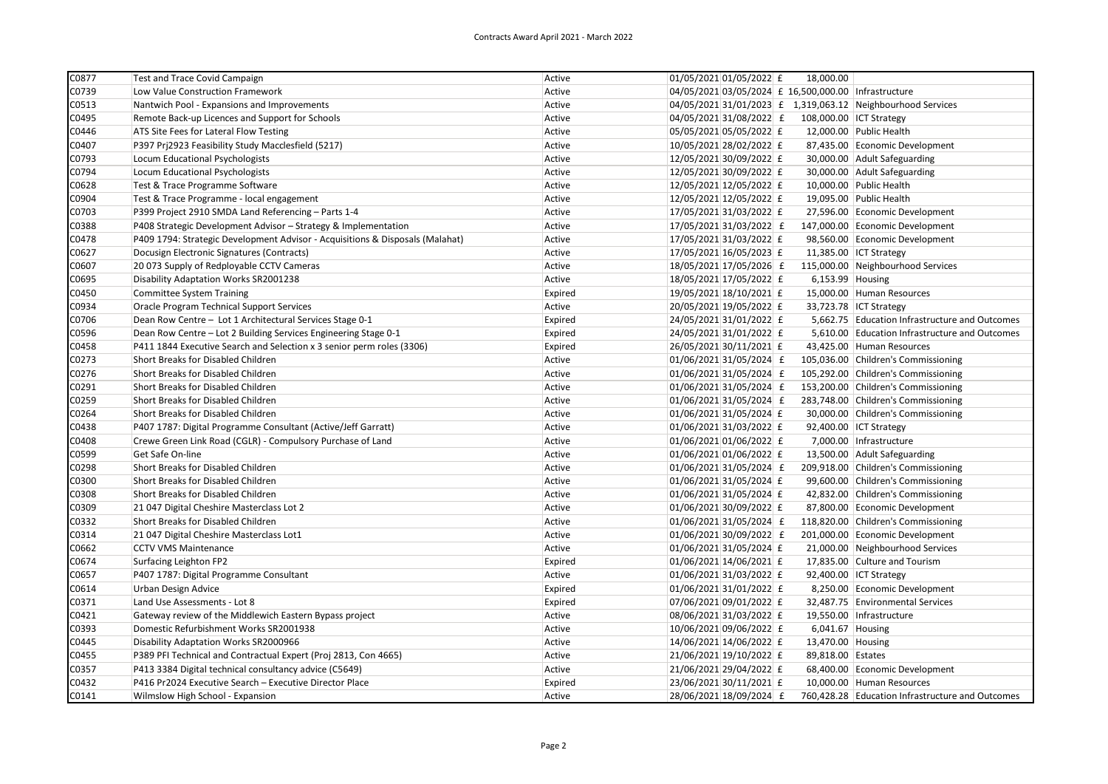| C0877 | <b>Test and Trace Covid Campaign</b>                                          | Active  | 01/05/2021 01/05/2022 £                                     | 18,000.00         |                                                  |
|-------|-------------------------------------------------------------------------------|---------|-------------------------------------------------------------|-------------------|--------------------------------------------------|
| C0739 | Low Value Construction Framework                                              | Active  | 04/05/2021 03/05/2024 £ 16,500,000.00 Infrastructure        |                   |                                                  |
| C0513 | Nantwich Pool - Expansions and Improvements                                   | Active  | 04/05/2021 31/01/2023 £ 1,319,063.12 Neighbourhood Services |                   |                                                  |
| C0495 | Remote Back-up Licences and Support for Schools                               | Active  | 04/05/2021 31/08/2022 £                                     |                   | 108,000.00 ICT Strategy                          |
| C0446 | ATS Site Fees for Lateral Flow Testing                                        | Active  | 05/05/2021 05/05/2022 £                                     |                   | 12,000.00 Public Health                          |
| C0407 | P397 Prj2923 Feasibility Study Macclesfield (5217)                            | Active  | 10/05/2021 28/02/2022 £                                     |                   | 87,435.00 Economic Development                   |
| C0793 | Locum Educational Psychologists                                               | Active  | 12/05/2021 30/09/2022 £                                     |                   | 30,000.00 Adult Safeguarding                     |
| C0794 | Locum Educational Psychologists                                               | Active  | 12/05/2021 30/09/2022 £                                     |                   | 30,000.00 Adult Safeguarding                     |
| C0628 | Test & Trace Programme Software                                               | Active  | 12/05/2021 12/05/2022 £                                     |                   | 10,000.00 Public Health                          |
| C0904 | Test & Trace Programme - local engagement                                     | Active  | 12/05/2021 12/05/2022 £                                     |                   | 19,095.00 Public Health                          |
| C0703 | P399 Project 2910 SMDA Land Referencing - Parts 1-4                           | Active  | 17/05/2021 31/03/2022 £                                     |                   | 27,596.00 Economic Development                   |
| C0388 | P408 Strategic Development Advisor - Strategy & Implementation                | Active  | 17/05/2021 31/03/2022 £                                     |                   | 147,000.00 Economic Development                  |
| C0478 | P409 1794: Strategic Development Advisor - Acquisitions & Disposals (Malahat) | Active  | 17/05/2021 31/03/2022 £                                     |                   | 98,560.00 Economic Development                   |
| C0627 | Docusign Electronic Signatures (Contracts)                                    | Active  | 17/05/2021 16/05/2023 £                                     |                   | 11,385.00 ICT Strategy                           |
| C0607 | 20 073 Supply of Redployable CCTV Cameras                                     | Active  | 18/05/2021 17/05/2026 £                                     |                   | 115,000.00 Neighbourhood Services                |
| C0695 | Disability Adaptation Works SR2001238                                         | Active  | 18/05/2021 17/05/2022 £                                     | 6,153.99 Housing  |                                                  |
| C0450 | <b>Committee System Training</b>                                              | Expired | 19/05/2021 18/10/2021 £                                     |                   | 15,000.00 Human Resources                        |
| C0934 | Oracle Program Technical Support Services                                     | Active  | 20/05/2021 19/05/2022 £                                     |                   | 33,723.78 ICT Strategy                           |
| C0706 | Dean Row Centre - Lot 1 Architectural Services Stage 0-1                      | Expired | 24/05/2021 31/01/2022 £                                     |                   | 5,662.75 Education Infrastructure and Outcomes   |
| C0596 | Dean Row Centre - Lot 2 Building Services Engineering Stage 0-1               | Expired | 24/05/2021 31/01/2022 £                                     |                   | 5,610.00 Education Infrastructure and Outcomes   |
| C0458 | P411 1844 Executive Search and Selection x 3 senior perm roles (3306)         | Expired | 26/05/2021 30/11/2021 £                                     |                   | 43,425.00 Human Resources                        |
| C0273 | Short Breaks for Disabled Children                                            | Active  | 01/06/2021 31/05/2024 £                                     |                   | 105,036.00 Children's Commissioning              |
| C0276 | Short Breaks for Disabled Children                                            | Active  | 01/06/2021 31/05/2024 £                                     |                   | 105,292.00 Children's Commissioning              |
| C0291 | Short Breaks for Disabled Children                                            | Active  | 01/06/2021 31/05/2024 £                                     |                   | 153,200.00 Children's Commissioning              |
| C0259 | Short Breaks for Disabled Children                                            | Active  | 01/06/2021 31/05/2024 £                                     |                   | 283,748.00 Children's Commissioning              |
| C0264 | Short Breaks for Disabled Children                                            | Active  | 01/06/2021 31/05/2024 £                                     |                   | 30,000.00 Children's Commissioning               |
| C0438 | P407 1787: Digital Programme Consultant (Active/Jeff Garratt)                 | Active  | 01/06/2021 31/03/2022 £                                     |                   | 92,400.00 ICT Strategy                           |
| C0408 | Crewe Green Link Road (CGLR) - Compulsory Purchase of Land                    | Active  | 01/06/2021 01/06/2022 £                                     |                   | 7,000.00 Infrastructure                          |
| C0599 | Get Safe On-line                                                              | Active  | 01/06/2021 01/06/2022 £                                     |                   | 13,500.00 Adult Safeguarding                     |
| C0298 | Short Breaks for Disabled Children                                            | Active  | $01/06/2021$ 31/05/2024 £                                   |                   | 209,918.00 Children's Commissioning              |
| C0300 | Short Breaks for Disabled Children                                            | Active  | 01/06/2021 31/05/2024 £                                     |                   | 99,600.00 Children's Commissioning               |
| C0308 | Short Breaks for Disabled Children                                            | Active  | 01/06/2021 31/05/2024 £                                     |                   | 42,832.00 Children's Commissioning               |
| C0309 | 21 047 Digital Cheshire Masterclass Lot 2                                     | Active  | 01/06/2021 30/09/2022 £                                     |                   | 87,800.00 Economic Development                   |
| C0332 | Short Breaks for Disabled Children                                            | Active  | 01/06/2021 31/05/2024 £                                     |                   | 118,820.00 Children's Commissioning              |
| C0314 | 21 047 Digital Cheshire Masterclass Lot1                                      | Active  | 01/06/2021 30/09/2022 £                                     |                   | 201,000.00 Economic Development                  |
| C0662 | <b>CCTV VMS Maintenance</b>                                                   | Active  | 01/06/2021 31/05/2024 £                                     |                   | 21,000.00 Neighbourhood Services                 |
| C0674 | Surfacing Leighton FP2                                                        | Expired | $01/06/2021$ 14/06/2021 £                                   |                   | 17,835.00 Culture and Tourism                    |
| C0657 | P407 1787: Digital Programme Consultant                                       | Active  | 01/06/2021 31/03/2022 £                                     |                   | 92,400.00 ICT Strategy                           |
| C0614 | Urban Design Advice                                                           | Expired | 01/06/2021 31/01/2022 £                                     |                   | 8,250.00 Economic Development                    |
| C0371 | Land Use Assessments - Lot 8                                                  | Expired | 07/06/2021 09/01/2022 £                                     |                   | 32,487.75 Environmental Services                 |
| C0421 | Gateway review of the Middlewich Eastern Bypass project                       | Active  | 08/06/2021 31/03/2022 £                                     |                   | 19,550.00 Infrastructure                         |
| C0393 | Domestic Refurbishment Works SR2001938                                        | Active  | 10/06/2021 09/06/2022 £                                     | 6,041.67 Housing  |                                                  |
| C0445 | Disability Adaptation Works SR2000966                                         | Active  | 14/06/2021 14/06/2022 £                                     | 13,470.00 Housing |                                                  |
| C0455 | P389 PFI Technical and Contractual Expert (Proj 2813, Con 4665)               | Active  | 21/06/2021 19/10/2022 £                                     | 89,818.00 Estates |                                                  |
| C0357 | P413 3384 Digital technical consultancy advice (C5649)                        | Active  | 21/06/2021 29/04/2022 £                                     |                   | 68,400.00 Economic Development                   |
| C0432 | P416 Pr2024 Executive Search - Executive Director Place                       | Expired | 23/06/2021 30/11/2021 £                                     |                   | 10,000.00 Human Resources                        |
| C0141 | Wilmslow High School - Expansion                                              | Active  | 28/06/2021 18/09/2024 £                                     |                   | 760,428.28 Education Infrastructure and Outcomes |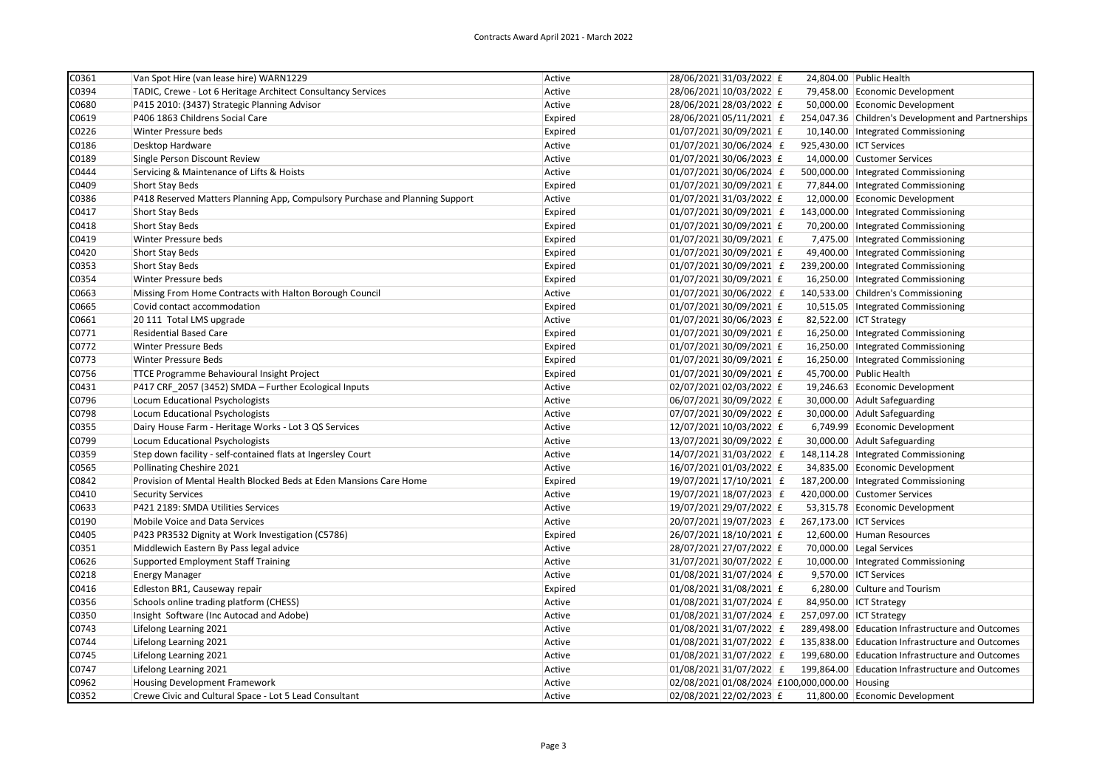| C0361 | Van Spot Hire (van lease hire) WARN1229                                      | Active  | 28/06/2021 31/03/2022 £                       | 24,804.00 Public Health                            |
|-------|------------------------------------------------------------------------------|---------|-----------------------------------------------|----------------------------------------------------|
| C0394 | TADIC, Crewe - Lot 6 Heritage Architect Consultancy Services                 | Active  | 28/06/2021 10/03/2022 £                       | 79,458.00 Economic Development                     |
| C0680 | P415 2010: (3437) Strategic Planning Advisor                                 | Active  | 28/06/2021 28/03/2022 £                       | 50,000.00 Economic Development                     |
| C0619 | P406 1863 Childrens Social Care                                              | Expired | 28/06/2021 05/11/2021 £                       | 254,047.36 Children's Development and Partnerships |
| C0226 | Winter Pressure beds                                                         | Expired | 01/07/2021 30/09/2021 £                       | 10,140.00   Integrated Commissioning               |
| C0186 | Desktop Hardware                                                             | Active  | 01/07/2021 30/06/2024 £                       | 925,430.00 ICT Services                            |
| C0189 | Single Person Discount Review                                                | Active  | 01/07/2021 30/06/2023 £                       | 14,000.00 Customer Services                        |
| C0444 | Servicing & Maintenance of Lifts & Hoists                                    | Active  | 01/07/2021 30/06/2024 £                       | 500,000.00   Integrated Commissioning              |
| C0409 | <b>Short Stay Beds</b>                                                       | Expired | 01/07/2021 30/09/2021 £                       | 77,844.00   Integrated Commissioning               |
| C0386 | P418 Reserved Matters Planning App, Compulsory Purchase and Planning Support | Active  | 01/07/2021 31/03/2022 £                       | 12,000.00 Economic Development                     |
| C0417 | <b>Short Stay Beds</b>                                                       | Expired | 01/07/2021 30/09/2021 £                       | 143,000.00   Integrated Commissioning              |
| C0418 | <b>Short Stay Beds</b>                                                       | Expired | 01/07/2021 30/09/2021 £                       | 70,200.00   Integrated Commissioning               |
| C0419 | Winter Pressure beds                                                         | Expired | 01/07/2021 30/09/2021 £                       | 7,475.00   Integrated Commissioning                |
| C0420 | <b>Short Stay Beds</b>                                                       | Expired | 01/07/2021 30/09/2021 £                       | 49,400.00 Integrated Commissioning                 |
| C0353 | <b>Short Stay Beds</b>                                                       | Expired | 01/07/2021 30/09/2021 £                       | 239,200.00   Integrated Commissioning              |
| C0354 | Winter Pressure beds                                                         | Expired | 01/07/2021 30/09/2021 £                       | 16,250.00   Integrated Commissioning               |
| C0663 | Missing From Home Contracts with Halton Borough Council                      | Active  | $01/07/2021$ 30/06/2022 £                     | 140,533.00 Children's Commissioning                |
| C0665 | Covid contact accommodation                                                  | Expired | $01/07/2021$ 30/09/2021 £                     | 10,515.05   Integrated Commissioning               |
| C0661 | 20 111 Total LMS upgrade                                                     | Active  | 01/07/2021 30/06/2023 £                       | 82,522.00 ICT Strategy                             |
| C0771 | <b>Residential Based Care</b>                                                | Expired | 01/07/2021 30/09/2021 £                       | 16,250.00 Integrated Commissioning                 |
| C0772 | <b>Winter Pressure Beds</b>                                                  | Expired | 01/07/2021 30/09/2021 £                       | 16,250.00   Integrated Commissioning               |
| C0773 | <b>Winter Pressure Beds</b>                                                  | Expired | 01/07/2021 30/09/2021 £                       | 16,250.00 Integrated Commissioning                 |
| C0756 | <b>TTCE Programme Behavioural Insight Project</b>                            | Expired | 01/07/2021 30/09/2021 £                       | 45,700.00 Public Health                            |
| C0431 | P417 CRF_2057 (3452) SMDA - Further Ecological Inputs                        | Active  | 02/07/2021 02/03/2022 £                       | 19,246.63 Economic Development                     |
| C0796 | Locum Educational Psychologists                                              | Active  | 06/07/2021 30/09/2022 £                       | 30,000.00 Adult Safeguarding                       |
| C0798 | Locum Educational Psychologists                                              | Active  | 07/07/2021 30/09/2022 £                       | 30,000.00 Adult Safeguarding                       |
| C0355 | Dairy House Farm - Heritage Works - Lot 3 QS Services                        | Active  | 12/07/2021 10/03/2022 £                       | 6,749.99 Economic Development                      |
| C0799 | Locum Educational Psychologists                                              | Active  | 13/07/2021 30/09/2022 £                       | 30,000.00 Adult Safeguarding                       |
| C0359 | Step down facility - self-contained flats at Ingersley Court                 | Active  | 14/07/2021 31/03/2022 £                       | 148,114.28   Integrated Commissioning              |
| C0565 | Pollinating Cheshire 2021                                                    | Active  | 16/07/2021 01/03/2022 £                       | 34,835.00 Economic Development                     |
| C0842 | Provision of Mental Health Blocked Beds at Eden Mansions Care Home           | Expired | 19/07/2021 17/10/2021 £                       | 187,200.00   Integrated Commissioning              |
| C0410 | <b>Security Services</b>                                                     | Active  | 19/07/2021 18/07/2023 £                       | 420,000.00 Customer Services                       |
| C0633 | P421 2189: SMDA Utilities Services                                           | Active  | 19/07/2021 29/07/2022 £                       | 53,315.78 Economic Development                     |
| C0190 | Mobile Voice and Data Services                                               | Active  | 20/07/2021 19/07/2023 £                       | 267,173.00 ICT Services                            |
| C0405 | P423 PR3532 Dignity at Work Investigation (C5786)                            | Expired | 26/07/2021 18/10/2021 £                       | 12,600.00 Human Resources                          |
| C0351 | Middlewich Eastern By Pass legal advice                                      | Active  | 28/07/2021 27/07/2022 £                       | 70,000.00 Legal Services                           |
| C0626 | <b>Supported Employment Staff Training</b>                                   | Active  | 31/07/2021 30/07/2022 £                       | 10,000.00   Integrated Commissioning               |
| C0218 | <b>Energy Manager</b>                                                        | Active  | 01/08/2021 31/07/2024 £                       | 9,570.00  ICT Services                             |
| C0416 | Edleston BR1, Causeway repair                                                | Expired | 01/08/2021 31/08/2021 £                       | 6,280.00 Culture and Tourism                       |
| C0356 | Schools online trading platform (CHESS)                                      | Active  | 01/08/2021 31/07/2024 £                       | 84,950.00   ICT Strategy                           |
| C0350 | Insight Software (Inc Autocad and Adobe)                                     | Active  | 01/08/2021 31/07/2024 £                       | 257,097.00 ICT Strategy                            |
| C0743 | Lifelong Learning 2021                                                       | Active  | 01/08/2021 31/07/2022 £                       | 289,498.00 Education Infrastructure and Outcomes   |
| C0744 | Lifelong Learning 2021                                                       | Active  | 01/08/2021 31/07/2022 £                       | 135,838.00 Education Infrastructure and Outcomes   |
| C0745 | Lifelong Learning 2021                                                       | Active  | 01/08/2021 31/07/2022 £                       | 199,680.00 Education Infrastructure and Outcomes   |
| C0747 | Lifelong Learning 2021                                                       | Active  | 01/08/2021 31/07/2022 £                       | 199,864.00 Education Infrastructure and Outcomes   |
| C0962 | Housing Development Framework                                                | Active  | 02/08/2021 01/08/2024 £100,000,000.00 Housing |                                                    |
| C0352 | Crewe Civic and Cultural Space - Lot 5 Lead Consultant                       | Active  | 02/08/2021 22/02/2023 £                       | 11,800.00 Economic Development                     |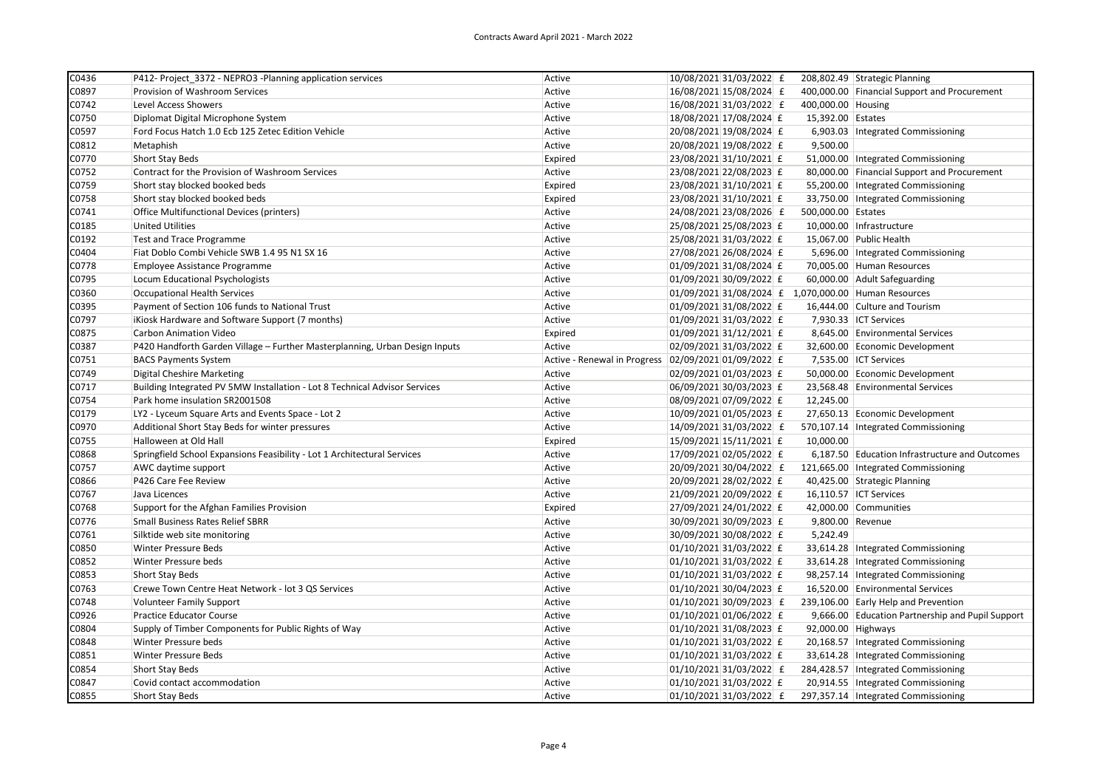| $\overline{CO}$ 436 | P412- Project 3372 - NEPRO3 -Planning application services                  | Active                       | 10/08/2021 31/03/2022 £                              |                    | 208,802.49 Strategic Planning                    |
|---------------------|-----------------------------------------------------------------------------|------------------------------|------------------------------------------------------|--------------------|--------------------------------------------------|
| C0897               | Provision of Washroom Services                                              | Active                       | 16/08/2021 15/08/2024 £                              |                    | 400,000.00 Financial Support and Procurement     |
| C0742               | Level Access Showers                                                        | Active                       | 16/08/2021 31/03/2022 £                              | 400,000.00 Housing |                                                  |
| C0750               | Diplomat Digital Microphone System                                          | Active                       | 18/08/2021 17/08/2024 £                              | 15,392.00 Estates  |                                                  |
| C0597               | Ford Focus Hatch 1.0 Ecb 125 Zetec Edition Vehicle                          | Active                       | 20/08/2021 19/08/2024 £                              |                    | 6,903.03   Integrated Commissioning              |
| C0812               | Metaphish                                                                   | Active                       | 20/08/2021 19/08/2022 £                              | 9,500.00           |                                                  |
| C0770               | Short Stay Beds                                                             | Expired                      | 23/08/2021 31/10/2021 £                              |                    | 51,000.00   Integrated Commissioning             |
| C0752               | Contract for the Provision of Washroom Services                             | Active                       | 23/08/2021 22/08/2023 £                              |                    | 80,000.00 Financial Support and Procurement      |
| C0759               | Short stay blocked booked beds                                              | Expired                      | 23/08/2021 31/10/2021 £                              |                    | 55,200.00   Integrated Commissioning             |
| C0758               | Short stay blocked booked beds                                              | Expired                      | 23/08/2021 31/10/2021 £                              |                    | 33,750.00   Integrated Commissioning             |
| C0741               | Office Multifunctional Devices (printers)                                   | Active                       | 24/08/2021 23/08/2026 £                              | 500,000.00 Estates |                                                  |
| C0185               | <b>United Utilities</b>                                                     | Active                       | 25/08/2021 25/08/2023 £                              |                    | 10,000.00   Infrastructure                       |
| C0192               | <b>Test and Trace Programme</b>                                             | Active                       | 25/08/2021 31/03/2022 £                              |                    | 15,067.00 Public Health                          |
| C0404               | Fiat Doblo Combi Vehicle SWB 1.4 95 N1 SX 16                                | Active                       | 27/08/2021 26/08/2024 £                              |                    | 5,696.00   Integrated Commissioning              |
| C0778               | Employee Assistance Programme                                               | Active                       | 01/09/2021 31/08/2024 £                              |                    | 70,005.00 Human Resources                        |
| C0795               | Locum Educational Psychologists                                             | Active                       | $ 01/09/2021 30/09/2022 $ £                          |                    | 60,000.00 Adult Safeguarding                     |
| C0360               | <b>Occupational Health Services</b>                                         | Active                       | 01/09/2021 31/08/2024 £ 1,070,000.00 Human Resources |                    |                                                  |
| C0395               | Payment of Section 106 funds to National Trust                              | Active                       | 01/09/2021 31/08/2022 £                              |                    | 16,444.00 Culture and Tourism                    |
| C0797               | iKiosk Hardware and Software Support (7 months)                             | Active                       | 01/09/2021 31/03/2022 £                              |                    | 7,930.33 ICT Services                            |
| C0875               | Carbon Animation Video                                                      | Expired                      | $01/09/2021$ 31/12/2021 £                            |                    | 8,645.00 Environmental Services                  |
| C0387               | P420 Handforth Garden Village - Further Masterplanning, Urban Design Inputs | Active                       | 02/09/2021 31/03/2022 £                              |                    | 32,600.00 Economic Development                   |
| C0751               | <b>BACS Payments System</b>                                                 | Active - Renewal in Progress | $ 02/09/2021 01/09/2022 $ £                          |                    | 7,535.00 ICT Services                            |
| C0749               | <b>Digital Cheshire Marketing</b>                                           | Active                       | 02/09/2021 01/03/2023 £                              |                    | 50,000.00 Economic Development                   |
| C0717               | Building Integrated PV 5MW Installation - Lot 8 Technical Advisor Services  | Active                       | 06/09/2021 30/03/2023 £                              |                    | 23,568.48 Environmental Services                 |
| C0754               | Park home insulation SR2001508                                              | Active                       | 08/09/2021 07/09/2022 £                              | 12,245.00          |                                                  |
| C0179               | LY2 - Lyceum Square Arts and Events Space - Lot 2                           | Active                       | 10/09/2021 01/05/2023 £                              |                    | 27,650.13 Economic Development                   |
| C0970               | Additional Short Stay Beds for winter pressures                             | Active                       | 14/09/2021 31/03/2022 £                              |                    | 570,107.14   Integrated Commissioning            |
| C0755               | Halloween at Old Hall                                                       | Expired                      | 15/09/2021 15/11/2021 £                              | 10,000.00          |                                                  |
| C0868               | Springfield School Expansions Feasibility - Lot 1 Architectural Services    | Active                       | 17/09/2021 02/05/2022 £                              |                    | 6,187.50 Education Infrastructure and Outcomes   |
| C0757               | AWC daytime support                                                         | Active                       | 20/09/2021 30/04/2022 £                              |                    | 121,665.00   Integrated Commissioning            |
| C0866               | P426 Care Fee Review                                                        | Active                       | 20/09/2021 28/02/2022 £                              |                    | 40,425.00 Strategic Planning                     |
| C0767               | Java Licences                                                               | Active                       | 21/09/2021 20/09/2022 £                              |                    | 16,110.57 ICT Services                           |
| C0768               | Support for the Afghan Families Provision                                   | Expired                      | 27/09/2021 24/01/2022 £                              |                    | 42,000.00 Communities                            |
| C0776               | Small Business Rates Relief SBRR                                            | Active                       | 30/09/2021 30/09/2023 £                              | 9,800.00 Revenue   |                                                  |
| C0761               | Silktide web site monitoring                                                | Active                       | 30/09/2021 30/08/2022 £                              | 5,242.49           |                                                  |
| C0850               | <b>Winter Pressure Beds</b>                                                 | Active                       | 01/10/2021 31/03/2022 £                              |                    | 33,614.28   Integrated Commissioning             |
| C0852               | Winter Pressure beds                                                        | Active                       | 01/10/2021 31/03/2022 £                              |                    | 33,614.28   Integrated Commissioning             |
| C0853               | Short Stay Beds                                                             | Active                       | 01/10/2021 31/03/2022 £                              |                    | 98,257.14   Integrated Commissioning             |
| C0763               | Crewe Town Centre Heat Network - lot 3 QS Services                          | Active                       | 01/10/2021 30/04/2023 £                              |                    | 16,520.00 Environmental Services                 |
| C0748               | <b>Volunteer Family Support</b>                                             | Active                       | 01/10/2021 30/09/2023 £                              |                    | 239,106.00 Early Help and Prevention             |
| C0926               | Practice Educator Course                                                    | Active                       | 01/10/2021 01/06/2022 £                              |                    | 9,666.00 Education Partnership and Pupil Support |
| C0804               | Supply of Timber Components for Public Rights of Way                        | Active                       | 01/10/2021 31/08/2023 £                              | 92,000.00 Highways |                                                  |
| C0848               | Winter Pressure beds                                                        | Active                       | 01/10/2021 31/03/2022 £                              |                    | 20,168.57   Integrated Commissioning             |
| C0851               | Winter Pressure Beds                                                        | Active                       | 01/10/2021 31/03/2022 £                              |                    | 33,614.28   Integrated Commissioning             |
| C0854               | <b>Short Stay Beds</b>                                                      | Active                       | 01/10/2021 31/03/2022 £                              |                    | 284,428.57   Integrated Commissioning            |
| C0847               | Covid contact accommodation                                                 | Active                       | 01/10/2021 31/03/2022 £                              |                    | 20,914.55   Integrated Commissioning             |
| C0855               | <b>Short Stay Beds</b>                                                      | Active                       | 01/10/2021 31/03/2022 £                              |                    | 297,357.14   Integrated Commissioning            |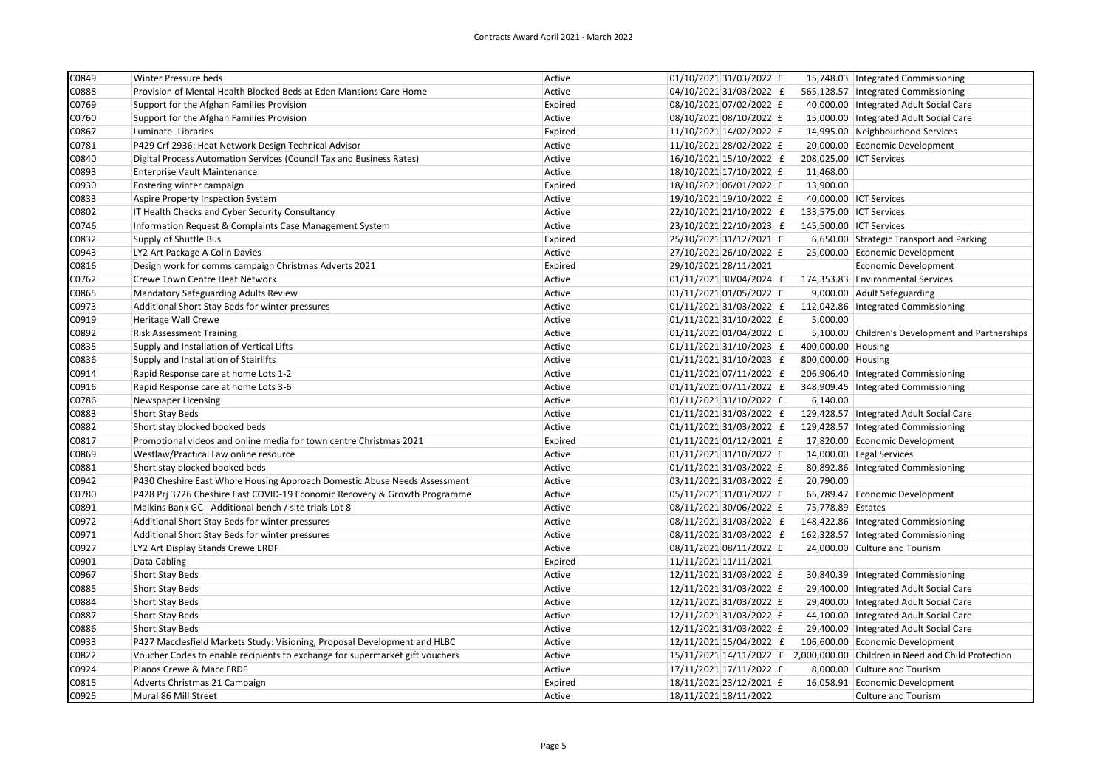| C0849 | Winter Pressure beds                                                         | Active  | 01/10/2021 31/03/2022 £     |                    | 15,748.03   Integrated Commissioning                                       |
|-------|------------------------------------------------------------------------------|---------|-----------------------------|--------------------|----------------------------------------------------------------------------|
| C0888 | Provision of Mental Health Blocked Beds at Eden Mansions Care Home           | Active  | 04/10/2021 31/03/2022 £     |                    | 565,128.57   Integrated Commissioning                                      |
| C0769 | Support for the Afghan Families Provision                                    | Expired | 08/10/2021 07/02/2022 £     |                    | 40,000.00   Integrated Adult Social Care                                   |
| C0760 | Support for the Afghan Families Provision                                    | Active  | 08/10/2021 08/10/2022 £     |                    | 15,000.00 Integrated Adult Social Care                                     |
| C0867 | Luminate-Libraries                                                           | Expired | 11/10/2021 14/02/2022 £     |                    | 14,995.00 Neighbourhood Services                                           |
| C0781 | P429 Crf 2936: Heat Network Design Technical Advisor                         | Active  | 11/10/2021 28/02/2022 £     |                    | 20,000.00 Economic Development                                             |
| C0840 | Digital Process Automation Services (Council Tax and Business Rates)         | Active  | $16/10/2021$ 15/10/2022 £   |                    | 208,025.00 ICT Services                                                    |
| C0893 | Enterprise Vault Maintenance                                                 | Active  | 18/10/2021 17/10/2022 £     | 11,468.00          |                                                                            |
| C0930 | Fostering winter campaign                                                    | Expired | 18/10/2021 06/01/2022 £     | 13,900.00          |                                                                            |
| C0833 | Aspire Property Inspection System                                            | Active  | 19/10/2021 19/10/2022 £     |                    | 40,000.00 ICT Services                                                     |
| C0802 | IT Health Checks and Cyber Security Consultancy                              | Active  | 22/10/2021 21/10/2022 £     |                    | 133,575.00 ICT Services                                                    |
| C0746 | Information Request & Complaints Case Management System                      | Active  | 23/10/2021 22/10/2023 £     |                    | 145,500.00 ICT Services                                                    |
| C0832 | Supply of Shuttle Bus                                                        | Expired | 25/10/2021 31/12/2021 £     |                    | 6,650.00 Strategic Transport and Parking                                   |
| C0943 | LY2 Art Package A Colin Davies                                               | Active  | 27/10/2021 26/10/2022 £     |                    | 25,000.00 Economic Development                                             |
| C0816 | Design work for comms campaign Christmas Adverts 2021                        | Expired | 29/10/2021 28/11/2021       |                    | <b>Economic Development</b>                                                |
| C0762 | Crewe Town Centre Heat Network                                               | Active  | 01/11/2021 30/04/2024 £     |                    | 174,353.83 Environmental Services                                          |
| C0865 | Mandatory Safeguarding Adults Review                                         | Active  | 01/11/2021 01/05/2022 £     |                    | 9,000.00 Adult Safeguarding                                                |
| C0973 | Additional Short Stay Beds for winter pressures                              | Active  | $ 01/11/2021 31/03/2022 $ £ |                    | 112,042.86   Integrated Commissioning                                      |
| C0919 | Heritage Wall Crewe                                                          | Active  | $01/11/2021$ 31/10/2022 £   | 5,000.00           |                                                                            |
| C0892 | <b>Risk Assessment Training</b>                                              | Active  | 01/11/2021 01/04/2022 £     |                    | 5,100.00 Children's Development and Partnerships                           |
| C0835 | Supply and Installation of Vertical Lifts                                    | Active  | $ 01/11/2021 31/10/2023 $ £ | 400,000.00 Housing |                                                                            |
| C0836 | Supply and Installation of Stairlifts                                        | Active  | $ 01/11/2021 31/10/2023 $ £ | 800,000.00 Housing |                                                                            |
| C0914 | Rapid Response care at home Lots 1-2                                         | Active  | $ 01/11/2021 07/11/2022 $ £ |                    | 206,906.40   Integrated Commissioning                                      |
| C0916 | Rapid Response care at home Lots 3-6                                         | Active  | $ 01/11/2021 07/11/2022 $ £ |                    | 348,909.45   Integrated Commissioning                                      |
| C0786 | Newspaper Licensing                                                          | Active  | 01/11/2021 31/10/2022 £     | 6,140.00           |                                                                            |
| C0883 | <b>Short Stay Beds</b>                                                       | Active  | $ 01/11/2021 31/03/2022 $ £ |                    | 129,428.57   Integrated Adult Social Care                                  |
| C0882 | Short stay blocked booked beds                                               | Active  | 01/11/2021 31/03/2022 £     |                    | 129,428.57   Integrated Commissioning                                      |
| C0817 | Promotional videos and online media for town centre Christmas 2021           | Expired | $01/11/2021$ 01/12/2021 £   |                    | 17,820.00 Economic Development                                             |
| C0869 | Westlaw/Practical Law online resource                                        | Active  | $01/11/2021$ 31/10/2022 £   |                    | 14,000.00 Legal Services                                                   |
| C0881 | Short stay blocked booked beds                                               | Active  | 01/11/2021 31/03/2022 £     |                    | 80,892.86   Integrated Commissioning                                       |
| C0942 | P430 Cheshire East Whole Housing Approach Domestic Abuse Needs Assessment    | Active  | 03/11/2021 31/03/2022 £     | 20,790.00          |                                                                            |
| C0780 | P428 Prj 3726 Cheshire East COVID-19 Economic Recovery & Growth Programme    | Active  | 05/11/2021 31/03/2022 £     |                    | 65,789.47 Economic Development                                             |
| C0891 | Malkins Bank GC - Additional bench / site trials Lot 8                       | Active  | 08/11/2021 30/06/2022 £     | 75,778.89 Estates  |                                                                            |
| C0972 | Additional Short Stay Beds for winter pressures                              | Active  | 08/11/2021 31/03/2022 £     |                    | 148,422.86 Integrated Commissioning                                        |
| C0971 | Additional Short Stay Beds for winter pressures                              | Active  | 08/11/2021 31/03/2022 £     |                    | 162,328.57   Integrated Commissioning                                      |
| C0927 | LY2 Art Display Stands Crewe ERDF                                            | Active  | 08/11/2021 08/11/2022 £     |                    | 24,000.00 Culture and Tourism                                              |
| C0901 | Data Cabling                                                                 | Expired | 11/11/2021 11/11/2021       |                    |                                                                            |
| C0967 | <b>Short Stay Beds</b>                                                       | Active  | 12/11/2021 31/03/2022 £     |                    | 30,840.39   Integrated Commissioning                                       |
| C0885 | Short Stay Beds                                                              | Active  | 12/11/2021 31/03/2022 £     |                    | 29,400.00   Integrated Adult Social Care                                   |
| C0884 | Short Stay Beds                                                              | Active  | 12/11/2021 31/03/2022 £     |                    | 29,400.00   Integrated Adult Social Care                                   |
| C0887 | Short Stay Beds                                                              | Active  | 12/11/2021 31/03/2022 £     |                    | 44,100.00   Integrated Adult Social Care                                   |
| C0886 | <b>Short Stay Beds</b>                                                       | Active  | 12/11/2021 31/03/2022 £     |                    | 29,400.00   Integrated Adult Social Care                                   |
| C0933 | P427 Macclesfield Markets Study: Visioning, Proposal Development and HLBC    | Active  | 12/11/2021 15/04/2022 £     |                    | 106,600.00 Economic Development                                            |
| C0822 | Voucher Codes to enable recipients to exchange for supermarket gift vouchers | Active  |                             |                    | 15/11/2021 14/11/2022 £ 2,000,000.00 Children in Need and Child Protection |
| C0924 | Pianos Crewe & Macc ERDF                                                     | Active  | 17/11/2021 17/11/2022 £     |                    | 8,000.00 Culture and Tourism                                               |
| C0815 | Adverts Christmas 21 Campaign                                                | Expired | 18/11/2021 23/12/2021 £     |                    | 16,058.91 Economic Development                                             |
| C0925 | Mural 86 Mill Street                                                         | Active  | 18/11/2021 18/11/2022       |                    | <b>Culture and Tourism</b>                                                 |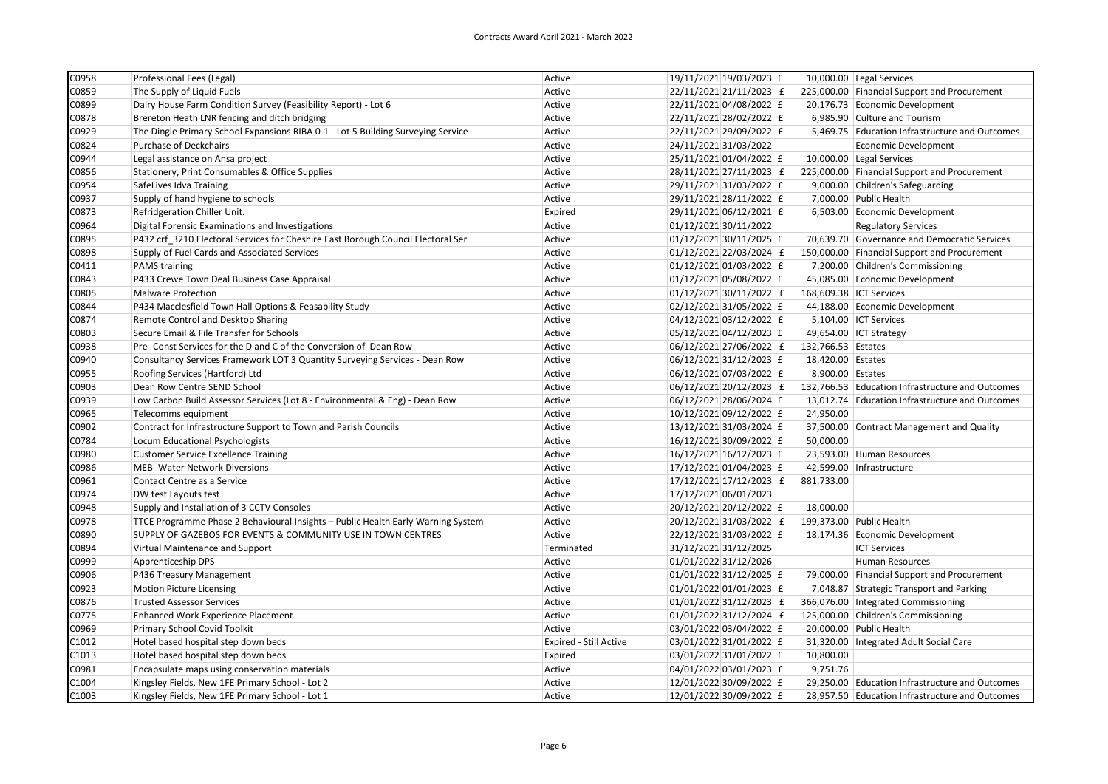| C0958 | Professional Fees (Legal)                                                        | Active                        | 19/11/2021 19/03/2023 £ |                    | 10,000.00 Legal Services                         |
|-------|----------------------------------------------------------------------------------|-------------------------------|-------------------------|--------------------|--------------------------------------------------|
| C0859 | The Supply of Liquid Fuels                                                       | Active                        | 22/11/2021 21/11/2023 £ |                    | 225,000.00 Financial Support and Procurement     |
| C0899 | Dairy House Farm Condition Survey (Feasibility Report) - Lot 6                   | Active                        | 22/11/2021 04/08/2022 £ |                    | 20,176.73 Economic Development                   |
| C0878 | Brereton Heath LNR fencing and ditch bridging                                    | Active                        | 22/11/2021 28/02/2022 £ |                    | 6,985.90 Culture and Tourism                     |
| C0929 | The Dingle Primary School Expansions RIBA 0-1 - Lot 5 Building Surveying Service | Active                        | 22/11/2021 29/09/2022 £ |                    | 5,469.75 Education Infrastructure and Outcomes   |
| C0824 | Purchase of Deckchairs                                                           | Active                        | 24/11/2021 31/03/2022   |                    | Economic Development                             |
| C0944 | Legal assistance on Ansa project                                                 | Active                        | 25/11/2021 01/04/2022 £ |                    | 10,000.00 Legal Services                         |
| C0856 | Stationery, Print Consumables & Office Supplies                                  | Active                        | 28/11/2021 27/11/2023 £ |                    | 225,000.00 Financial Support and Procurement     |
| C0954 | SafeLives Idva Training                                                          | Active                        | 29/11/2021 31/03/2022 £ |                    | 9,000.00 Children's Safeguarding                 |
| C0937 | Supply of hand hygiene to schools                                                | Active                        | 29/11/2021 28/11/2022 £ |                    | 7,000.00 Public Health                           |
| C0873 | Refridgeration Chiller Unit.                                                     | Expired                       | 29/11/2021 06/12/2021 £ |                    | 6,503.00 Economic Development                    |
| C0964 | Digital Forensic Examinations and Investigations                                 | Active                        | 01/12/2021 30/11/2022   |                    | <b>Regulatory Services</b>                       |
| C0895 | P432 crf 3210 Electoral Services for Cheshire East Borough Council Electoral Ser | Active                        | 01/12/2021 30/11/2025 £ |                    | 70,639.70 Governance and Democratic Services     |
| C0898 | Supply of Fuel Cards and Associated Services                                     | Active                        | 01/12/2021 22/03/2024 £ |                    | 150,000.00 Financial Support and Procurement     |
| C0411 | <b>PAMS</b> training                                                             | Active                        | 01/12/2021 01/03/2022 £ |                    | 7,200.00 Children's Commissioning                |
| C0843 | P433 Crewe Town Deal Business Case Appraisal                                     | Active                        | 01/12/2021 05/08/2022 £ |                    | 45,085.00 Economic Development                   |
| C0805 | <b>Malware Protection</b>                                                        | Active                        | 01/12/2021 30/11/2022 £ |                    | 168,609.38 ICT Services                          |
| C0844 | P434 Macclesfield Town Hall Options & Feasability Study                          | Active                        | 02/12/2021 31/05/2022 £ |                    | 44,188.00 Economic Development                   |
| C0874 | Remote Control and Desktop Sharing                                               | Active                        | 04/12/2021 03/12/2022 £ |                    | 5,104.00 ICT Services                            |
| C0803 | Secure Email & File Transfer for Schools                                         | Active                        | 05/12/2021 04/12/2023 £ |                    | 49,654.00 ICT Strategy                           |
| C0938 | Pre- Const Services for the D and C of the Conversion of Dean Row                | Active                        | 06/12/2021 27/06/2022 £ | 132,766.53 Estates |                                                  |
| C0940 | Consultancy Services Framework LOT 3 Quantity Surveying Services - Dean Row      | Active                        | 06/12/2021 31/12/2023 £ | 18,420.00 Estates  |                                                  |
| C0955 | Roofing Services (Hartford) Ltd                                                  | Active                        | 06/12/2021 07/03/2022 £ | 8,900.00 Estates   |                                                  |
| C0903 | Dean Row Centre SEND School                                                      | Active                        | 06/12/2021 20/12/2023 £ |                    | 132,766.53 Education Infrastructure and Outcomes |
| C0939 | Low Carbon Build Assessor Services (Lot 8 - Environmental & Eng) - Dean Row      | Active                        | 06/12/2021 28/06/2024 £ |                    | 13,012.74 Education Infrastructure and Outcomes  |
| C0965 | Telecomms equipment                                                              | Active                        | 10/12/2021 09/12/2022 £ | 24,950.00          |                                                  |
| C0902 | Contract for Infrastructure Support to Town and Parish Councils                  | Active                        | 13/12/2021 31/03/2024 £ |                    | 37,500.00 Contract Management and Quality        |
| C0784 | Locum Educational Psychologists                                                  | Active                        | 16/12/2021 30/09/2022 £ | 50,000.00          |                                                  |
| C0980 | <b>Customer Service Excellence Training</b>                                      | Active                        | 16/12/2021 16/12/2023 £ |                    | 23,593.00 Human Resources                        |
| C0986 | <b>MEB-Water Network Diversions</b>                                              | Active                        | 17/12/2021 01/04/2023 £ |                    | 42,599.00 Infrastructure                         |
| C0961 | Contact Centre as a Service                                                      | Active                        | 17/12/2021 17/12/2023 £ | 881,733.00         |                                                  |
| C0974 | DW test Layouts test                                                             | Active                        | 17/12/2021 06/01/2023   |                    |                                                  |
| C0948 | Supply and Installation of 3 CCTV Consoles                                       | Active                        | 20/12/2021 20/12/2022 £ | 18,000.00          |                                                  |
| C0978 | TTCE Programme Phase 2 Behavioural Insights - Public Health Early Warning System | Active                        | 20/12/2021 31/03/2022 £ |                    | 199,373.00 Public Health                         |
| C0890 | SUPPLY OF GAZEBOS FOR EVENTS & COMMUNITY USE IN TOWN CENTRES                     | Active                        | 22/12/2021 31/03/2022 £ |                    | 18,174.36 Economic Development                   |
| C0894 | Virtual Maintenance and Support                                                  | Terminated                    | 31/12/2021 31/12/2025   |                    | <b>ICT Services</b>                              |
| C0999 | Apprenticeship DPS                                                               | Active                        | 01/01/2022 31/12/2026   |                    | Human Resources                                  |
| C0906 | P436 Treasury Management                                                         | Active                        | 01/01/2022 31/12/2025 £ |                    | 79,000.00 Financial Support and Procurement      |
| C0923 | <b>Motion Picture Licensing</b>                                                  | Active                        | 01/01/2022 01/01/2023 £ |                    | 7,048.87 Strategic Transport and Parking         |
| C0876 | <b>Trusted Assessor Services</b>                                                 | Active                        | 01/01/2022 31/12/2023 £ |                    | 366,076.00   Integrated Commissioning            |
| C0775 | <b>Enhanced Work Experience Placement</b>                                        | Active                        | 01/01/2022 31/12/2024 £ |                    | 125,000.00 Children's Commissioning              |
| C0969 | Primary School Covid Toolkit                                                     | Active                        | 03/01/2022 03/04/2022 £ |                    | 20,000.00 Public Health                          |
| C1012 | Hotel based hospital step down beds                                              | <b>Expired - Still Active</b> | 03/01/2022 31/01/2022 £ |                    | 31,320.00   Integrated Adult Social Care         |
| C1013 | Hotel based hospital step down beds                                              | Expired                       | 03/01/2022 31/01/2022 £ | 10,800.00          |                                                  |
| C0981 | Encapsulate maps using conservation materials                                    | Active                        | 04/01/2022 03/01/2023 £ | 9,751.76           |                                                  |
| C1004 | Kingsley Fields, New 1FE Primary School - Lot 2                                  | Active                        | 12/01/2022 30/09/2022 £ |                    | 29,250.00 Education Infrastructure and Outcomes  |
| C1003 | Kingsley Fields, New 1FE Primary School - Lot 1                                  | Active                        | 12/01/2022 30/09/2022 £ |                    | 28,957.50 Education Infrastructure and Outcomes  |